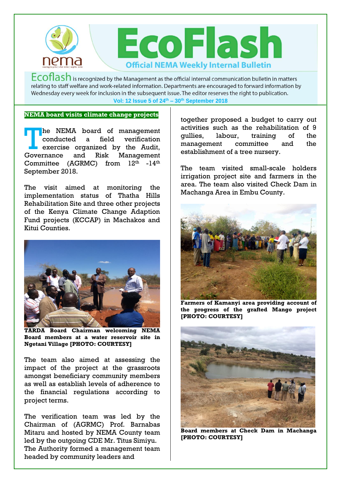

 $Ecoflash$  is recognized by the Management as the official internal communication bulletin in matters relating to staff welfare and work-related information. Departments are encouraged to forward information by Wednesday every week for inclusion in the subsequent issue. The editor reserves the right to publication. **Vol: 12 Issue 5 of 24th – 30th September 2018**

## **NEMA board visits climate change projects**

he NEMA board of management conducted a field verification exercise organized by the Audit, and Risk Management Committee (AGRMC) from  $12^{\text{th}}$  -14<sup>th</sup> September 2018. Governance

The visit aimed at monitoring the implementation status of Thatha Hills Rehabilitation Site and three other projects of the Kenya Climate Change Adaption Fund projects (KCCAP) in Machakos and Kitui Counties.



**TARDA Board Chairman welcoming NEMA Board members at a water reservoir site in Ngetani Village [PHOTO: COURTESY]**

The team also aimed at assessing the impact of the project at the grassroots amongst beneficiary community members as well as establish levels of adherence to the financial regulations according to project terms.

The verification team was led by the Chairman of (AGRMC) Prof. Barnabas Mitaru and hosted by NEMA County team led by the outgoing CDE Mr. Titus Simiyu. The Authority formed a management team headed by community leaders and

together proposed a budget to carry out activities such as the rehabilitation of 9 gullies, labour, training of the management committee and the establishment of a tree nursery.

The team visited small-scale holders irrigation project site and farmers in the area. The team also visited Check Dam in Machanga Area in Embu County.



**Farmers of Kamanyi area providing account of the progress of the grafted Mango project [PHOTO: COURTESY]** 



**Board members at Check Dam in Machanga [PHOTO: COURTESY]**